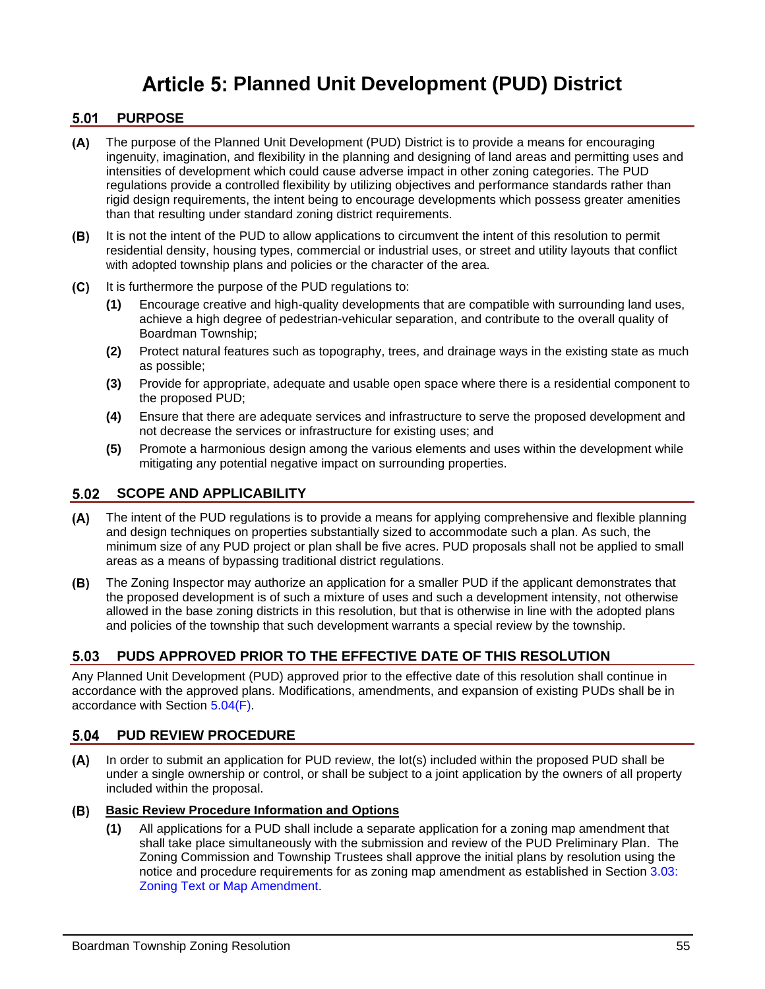# **Article 5: Planned Unit Development (PUD) District**

# 5.01 PURPOSE

- $(A)$ The purpose of the Planned Unit Development (PUD) District is to provide a means for encouraging ingenuity, imagination, and flexibility in the planning and designing of land areas and permitting uses and intensities of development which could cause adverse impact in other zoning categories. The PUD regulations provide a controlled flexibility by utilizing objectives and performance standards rather than rigid design requirements, the intent being to encourage developments which possess greater amenities than that resulting under standard zoning district requirements.
- It is not the intent of the PUD to allow applications to circumvent the intent of this resolution to permit (B) residential density, housing types, commercial or industrial uses, or street and utility layouts that conflict with adopted township plans and policies or the character of the area.
- $(C)$ It is furthermore the purpose of the PUD regulations to:
	- **(1)** Encourage creative and high-quality developments that are compatible with surrounding land uses, achieve a high degree of pedestrian-vehicular separation, and contribute to the overall quality of Boardman Township;
	- **(2)** Protect natural features such as topography, trees, and drainage ways in the existing state as much as possible;
	- **(3)** Provide for appropriate, adequate and usable open space where there is a residential component to the proposed PUD;
	- **(4)** Ensure that there are adequate services and infrastructure to serve the proposed development and not decrease the services or infrastructure for existing uses; and
	- **(5)** Promote a harmonious design among the various elements and uses within the development while mitigating any potential negative impact on surrounding properties.

# **SCOPE AND APPLICABILITY**

- The intent of the PUD regulations is to provide a means for applying comprehensive and flexible planning and design techniques on properties substantially sized to accommodate such a plan. As such, the minimum size of any PUD project or plan shall be five acres. PUD proposals shall not be applied to small areas as a means of bypassing traditional district regulations.
- The Zoning Inspector may authorize an application for a smaller PUD if the applicant demonstrates that the proposed development is of such a mixture of uses and such a development intensity, not otherwise allowed in the base zoning districts in this resolution, but that is otherwise in line with the adopted plans and policies of the township that such development warrants a special review by the township.

# **PUDS APPROVED PRIOR TO THE EFFECTIVE DATE OF THIS RESOLUTION**

Any Planned Unit Development (PUD) approved prior to the effective date of this resolution shall continue in accordance with the approved plans. Modifications, amendments, and expansion of existing PUDs shall be in accordance with Section [5.04\(F\).](#page-3-0)

#### **PUD REVIEW PROCEDURE** 5.04

In order to submit an application for PUD review, the lot(s) included within the proposed PUD shall be  $(A)$ under a single ownership or control, or shall be subject to a joint application by the owners of all property included within the proposal.

#### **Basic Review Procedure Information and Options**

**(1)** All applications for a PUD shall include a separate application for a zoning map amendment that shall take place simultaneously with the submission and review of the PUD Preliminary Plan. The Zoning Commission and Township Trustees shall approve the initial plans by resolution using the notice and procedure requirements for as zoning map amendment as established in Section 3.03: Zoning Text or Map Amendment.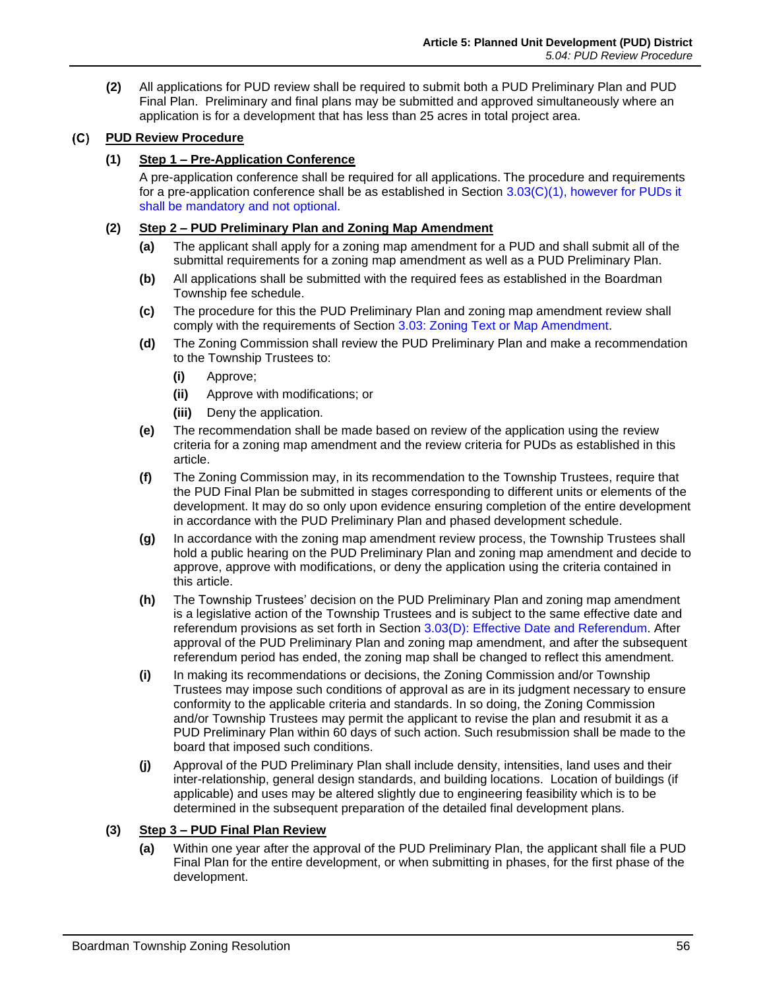**(2)** All applications for PUD review shall be required to submit both a PUD Preliminary Plan and PUD Final Plan. Preliminary and final plans may be submitted and approved simultaneously where an application is for a development that has less than 25 acres in total project area.

# **PUD Review Procedure**

## **(1) Step 1 – Pre-Application Conference**

A pre-application conference shall be required for all applications. The procedure and requirements for a pre-application conference shall be as established in Section 3.03(C)(1), however for PUDs it shall be mandatory and not optional.

### **(2) Step 2 – PUD Preliminary Plan and Zoning Map Amendment**

- **(a)** The applicant shall apply for a zoning map amendment for a PUD and shall submit all of the submittal requirements for a zoning map amendment as well as a PUD Preliminary Plan.
- **(b)** All applications shall be submitted with the required fees as established in the Boardman Township fee schedule.
- **(c)** The procedure for this the PUD Preliminary Plan and zoning map amendment review shall comply with the requirements of Section 3.03: Zoning Text or Map Amendment.
- **(d)** The Zoning Commission shall review the PUD Preliminary Plan and make a recommendation to the Township Trustees to:
	- **(i)** Approve;
	- **(ii)** Approve with modifications; or
	- **(iii)** Deny the application.
- **(e)** The recommendation shall be made based on review of the application using the review criteria for a zoning map amendment and the review criteria for PUDs as established in this article.
- **(f)** The Zoning Commission may, in its recommendation to the Township Trustees, require that the PUD Final Plan be submitted in stages corresponding to different units or elements of the development. It may do so only upon evidence ensuring completion of the entire development in accordance with the PUD Preliminary Plan and phased development schedule.
- **(g)** In accordance with the zoning map amendment review process, the Township Trustees shall hold a public hearing on the PUD Preliminary Plan and zoning map amendment and decide to approve, approve with modifications, or deny the application using the criteria contained in this article.
- **(h)** The Township Trustees' decision on the PUD Preliminary Plan and zoning map amendment is a legislative action of the Township Trustees and is subject to the same effective date and referendum provisions as set forth in Section 3.03(D): Effective Date and Referendum. After approval of the PUD Preliminary Plan and zoning map amendment, and after the subsequent referendum period has ended, the zoning map shall be changed to reflect this amendment.
- **(i)** In making its recommendations or decisions, the Zoning Commission and/or Township Trustees may impose such conditions of approval as are in its judgment necessary to ensure conformity to the applicable criteria and standards. In so doing, the Zoning Commission and/or Township Trustees may permit the applicant to revise the plan and resubmit it as a PUD Preliminary Plan within 60 days of such action. Such resubmission shall be made to the board that imposed such conditions.
- **(j)** Approval of the PUD Preliminary Plan shall include density, intensities, land uses and their inter-relationship, general design standards, and building locations. Location of buildings (if applicable) and uses may be altered slightly due to engineering feasibility which is to be determined in the subsequent preparation of the detailed final development plans.

### **(3) Step 3 – PUD Final Plan Review**

**(a)** Within one year after the approval of the PUD Preliminary Plan, the applicant shall file a PUD Final Plan for the entire development, or when submitting in phases, for the first phase of the development.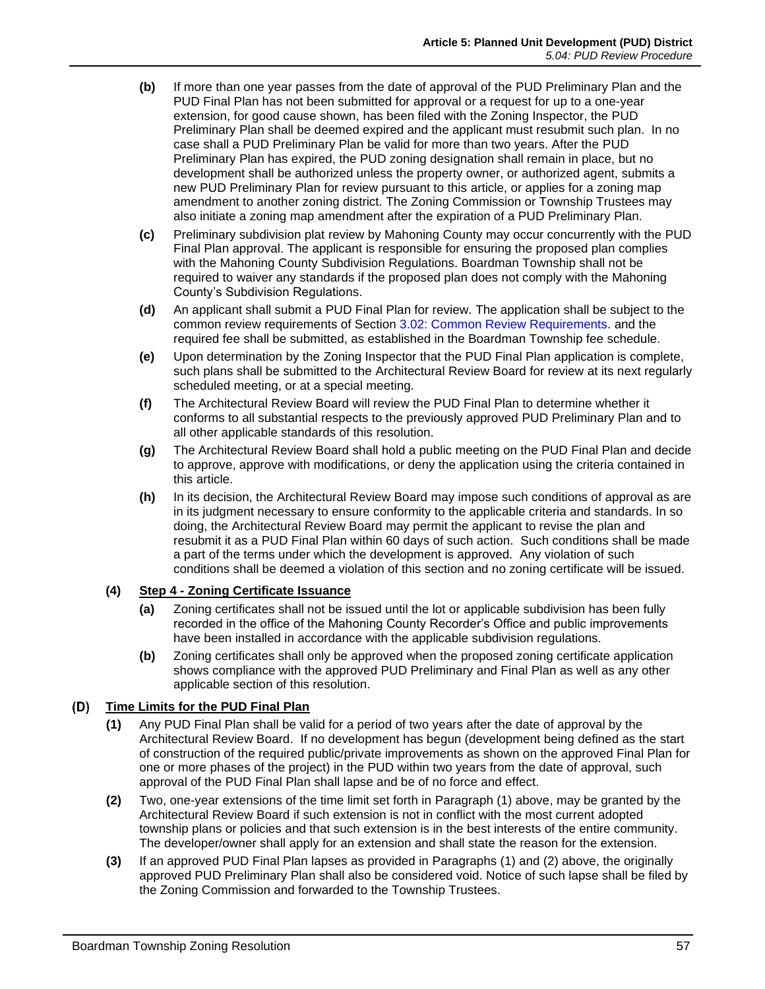- **(b)** If more than one year passes from the date of approval of the PUD Preliminary Plan and the PUD Final Plan has not been submitted for approval or a request for up to a one-year extension, for good cause shown, has been filed with the Zoning Inspector, the PUD Preliminary Plan shall be deemed expired and the applicant must resubmit such plan. In no case shall a PUD Preliminary Plan be valid for more than two years. After the PUD Preliminary Plan has expired, the PUD zoning designation shall remain in place, but no development shall be authorized unless the property owner, or authorized agent, submits a new PUD Preliminary Plan for review pursuant to this article, or applies for a zoning map amendment to another zoning district. The Zoning Commission or Township Trustees may also initiate a zoning map amendment after the expiration of a PUD Preliminary Plan.
- **(c)** Preliminary subdivision plat review by Mahoning County may occur concurrently with the PUD Final Plan approval. The applicant is responsible for ensuring the proposed plan complies with the Mahoning County Subdivision Regulations. Boardman Township shall not be required to waiver any standards if the proposed plan does not comply with the Mahoning County's Subdivision Regulations.
- **(d)** An applicant shall submit a PUD Final Plan for review. The application shall be subject to the common review requirements of Section 3.02: Common Review Requirements. and the required fee shall be submitted, as established in the Boardman Township fee schedule.
- **(e)** Upon determination by the Zoning Inspector that the PUD Final Plan application is complete, such plans shall be submitted to the Architectural Review Board for review at its next regularly scheduled meeting, or at a special meeting.
- **(f)** The Architectural Review Board will review the PUD Final Plan to determine whether it conforms to all substantial respects to the previously approved PUD Preliminary Plan and to all other applicable standards of this resolution.
- **(g)** The Architectural Review Board shall hold a public meeting on the PUD Final Plan and decide to approve, approve with modifications, or deny the application using the criteria contained in this article.
- **(h)** In its decision, the Architectural Review Board may impose such conditions of approval as are in its judgment necessary to ensure conformity to the applicable criteria and standards. In so doing, the Architectural Review Board may permit the applicant to revise the plan and resubmit it as a PUD Final Plan within 60 days of such action. Such conditions shall be made a part of the terms under which the development is approved. Any violation of such conditions shall be deemed a violation of this section and no zoning certificate will be issued.

#### **(4) Step 4 - Zoning Certificate Issuance**

- **(a)** Zoning certificates shall not be issued until the lot or applicable subdivision has been fully recorded in the office of the Mahoning County Recorder's Office and public improvements have been installed in accordance with the applicable subdivision regulations.
- **(b)** Zoning certificates shall only be approved when the proposed zoning certificate application shows compliance with the approved PUD Preliminary and Final Plan as well as any other applicable section of this resolution.

# **Time Limits for the PUD Final Plan**

- **(1)** Any PUD Final Plan shall be valid for a period of two years after the date of approval by the Architectural Review Board. If no development has begun (development being defined as the start of construction of the required public/private improvements as shown on the approved Final Plan for one or more phases of the project) in the PUD within two years from the date of approval, such approval of the PUD Final Plan shall lapse and be of no force and effect.
- **(2)** Two, one-year extensions of the time limit set forth in Paragraph (1) above, may be granted by the Architectural Review Board if such extension is not in conflict with the most current adopted township plans or policies and that such extension is in the best interests of the entire community. The developer/owner shall apply for an extension and shall state the reason for the extension.
- **(3)** If an approved PUD Final Plan lapses as provided in Paragraphs (1) and (2) above, the originally approved PUD Preliminary Plan shall also be considered void. Notice of such lapse shall be filed by the Zoning Commission and forwarded to the Township Trustees.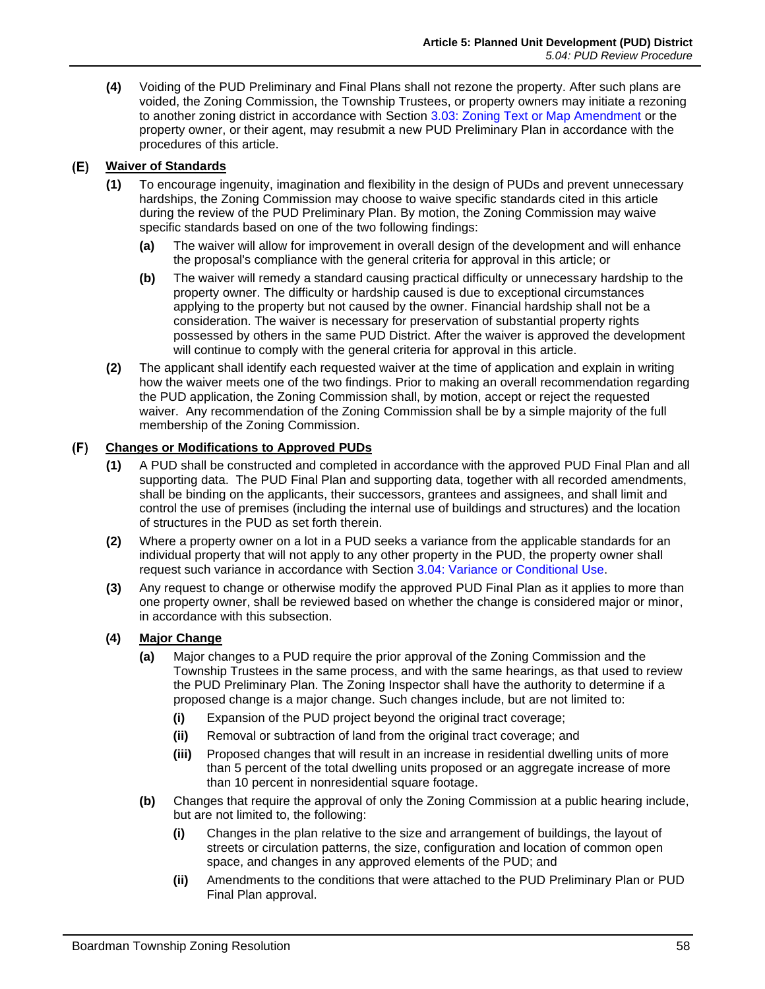**(4)** Voiding of the PUD Preliminary and Final Plans shall not rezone the property. After such plans are voided, the Zoning Commission, the Township Trustees, or property owners may initiate a rezoning to another zoning district in accordance with Section 3.03: Zoning Text or Map Amendment or the property owner, or their agent, may resubmit a new PUD Preliminary Plan in accordance with the procedures of this article.

#### <span id="page-3-1"></span>**Waiver of Standards** (E)

- **(1)** To encourage ingenuity, imagination and flexibility in the design of PUDs and prevent unnecessary hardships, the Zoning Commission may choose to waive specific standards cited in this article during the review of the PUD Preliminary Plan. By motion, the Zoning Commission may waive specific standards based on one of the two following findings:
	- **(a)** The waiver will allow for improvement in overall design of the development and will enhance the proposal's compliance with the general criteria for approval in this article; or
	- **(b)** The waiver will remedy a standard causing practical difficulty or unnecessary hardship to the property owner. The difficulty or hardship caused is due to exceptional circumstances applying to the property but not caused by the owner. Financial hardship shall not be a consideration. The waiver is necessary for preservation of substantial property rights possessed by others in the same PUD District. After the waiver is approved the development will continue to comply with the general criteria for approval in this article.
- **(2)** The applicant shall identify each requested waiver at the time of application and explain in writing how the waiver meets one of the two findings. Prior to making an overall recommendation regarding the PUD application, the Zoning Commission shall, by motion, accept or reject the requested waiver. Any recommendation of the Zoning Commission shall be by a simple majority of the full membership of the Zoning Commission.

# <span id="page-3-0"></span>**Changes or Modifications to Approved PUDs**

- **(1)** A PUD shall be constructed and completed in accordance with the approved PUD Final Plan and all supporting data. The PUD Final Plan and supporting data, together with all recorded amendments, shall be binding on the applicants, their successors, grantees and assignees, and shall limit and control the use of premises (including the internal use of buildings and structures) and the location of structures in the PUD as set forth therein.
- **(2)** Where a property owner on a lot in a PUD seeks a variance from the applicable standards for an individual property that will not apply to any other property in the PUD, the property owner shall request such variance in accordance with Section 3.04: Variance or Conditional Use.
- **(3)** Any request to change or otherwise modify the approved PUD Final Plan as it applies to more than one property owner, shall be reviewed based on whether the change is considered major or minor, in accordance with this subsection.

# **(4) Major Change**

- **(a)** Major changes to a PUD require the prior approval of the Zoning Commission and the Township Trustees in the same process, and with the same hearings, as that used to review the PUD Preliminary Plan. The Zoning Inspector shall have the authority to determine if a proposed change is a major change. Such changes include, but are not limited to:
	- **(i)** Expansion of the PUD project beyond the original tract coverage;
	- **(ii)** Removal or subtraction of land from the original tract coverage; and
	- **(iii)** Proposed changes that will result in an increase in residential dwelling units of more than 5 percent of the total dwelling units proposed or an aggregate increase of more than 10 percent in nonresidential square footage.
- **(b)** Changes that require the approval of only the Zoning Commission at a public hearing include, but are not limited to, the following:
	- **(i)** Changes in the plan relative to the size and arrangement of buildings, the layout of streets or circulation patterns, the size, configuration and location of common open space, and changes in any approved elements of the PUD; and
	- **(ii)** Amendments to the conditions that were attached to the PUD Preliminary Plan or PUD Final Plan approval.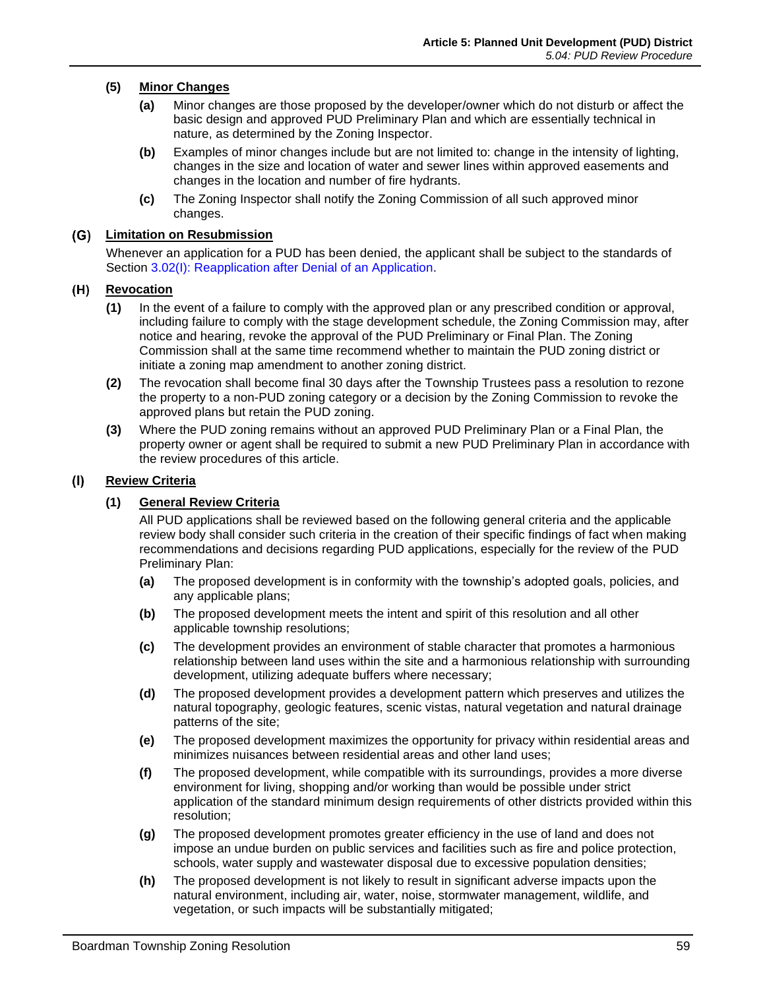### **(5) Minor Changes**

- **(a)** Minor changes are those proposed by the developer/owner which do not disturb or affect the basic design and approved PUD Preliminary Plan and which are essentially technical in nature, as determined by the Zoning Inspector.
- **(b)** Examples of minor changes include but are not limited to: change in the intensity of lighting, changes in the size and location of water and sewer lines within approved easements and changes in the location and number of fire hydrants.
- **(c)** The Zoning Inspector shall notify the Zoning Commission of all such approved minor changes.

#### **Limitation on Resubmission**

Whenever an application for a PUD has been denied, the applicant shall be subject to the standards of Section 3.02(I): Reapplication after Denial of an Application.

#### **Revocation**

- **(1)** In the event of a failure to comply with the approved plan or any prescribed condition or approval, including failure to comply with the stage development schedule, the Zoning Commission may, after notice and hearing, revoke the approval of the PUD Preliminary or Final Plan. The Zoning Commission shall at the same time recommend whether to maintain the PUD zoning district or initiate a zoning map amendment to another zoning district.
- **(2)** The revocation shall become final 30 days after the Township Trustees pass a resolution to rezone the property to a non-PUD zoning category or a decision by the Zoning Commission to revoke the approved plans but retain the PUD zoning.
- **(3)** Where the PUD zoning remains without an approved PUD Preliminary Plan or a Final Plan, the property owner or agent shall be required to submit a new PUD Preliminary Plan in accordance with the review procedures of this article.

#### $(1)$ **Review Criteria**

#### **(1) General Review Criteria**

All PUD applications shall be reviewed based on the following general criteria and the applicable review body shall consider such criteria in the creation of their specific findings of fact when making recommendations and decisions regarding PUD applications, especially for the review of the PUD Preliminary Plan:

- **(a)** The proposed development is in conformity with the township's adopted goals, policies, and any applicable plans;
- **(b)** The proposed development meets the intent and spirit of this resolution and all other applicable township resolutions;
- **(c)** The development provides an environment of stable character that promotes a harmonious relationship between land uses within the site and a harmonious relationship with surrounding development, utilizing adequate buffers where necessary;
- **(d)** The proposed development provides a development pattern which preserves and utilizes the natural topography, geologic features, scenic vistas, natural vegetation and natural drainage patterns of the site;
- **(e)** The proposed development maximizes the opportunity for privacy within residential areas and minimizes nuisances between residential areas and other land uses;
- **(f)** The proposed development, while compatible with its surroundings, provides a more diverse environment for living, shopping and/or working than would be possible under strict application of the standard minimum design requirements of other districts provided within this resolution;
- **(g)** The proposed development promotes greater efficiency in the use of land and does not impose an undue burden on public services and facilities such as fire and police protection, schools, water supply and wastewater disposal due to excessive population densities;
- **(h)** The proposed development is not likely to result in significant adverse impacts upon the natural environment, including air, water, noise, stormwater management, wildlife, and vegetation, or such impacts will be substantially mitigated;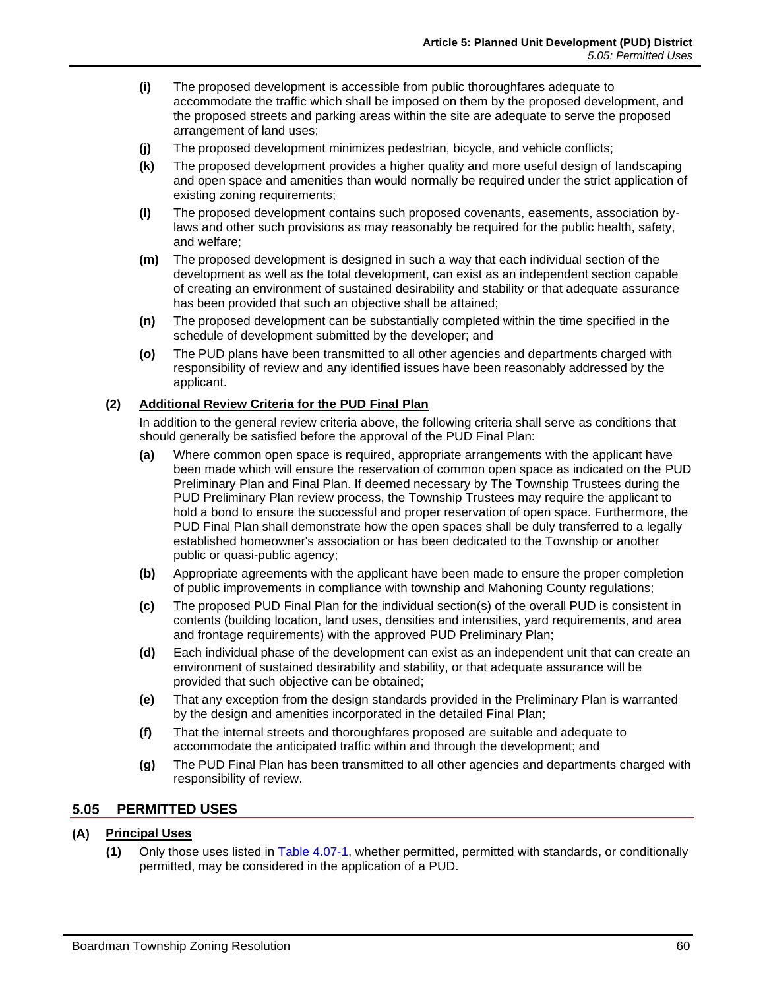- **(i)** The proposed development is accessible from public thoroughfares adequate to accommodate the traffic which shall be imposed on them by the proposed development, and the proposed streets and parking areas within the site are adequate to serve the proposed arrangement of land uses;
- **(j)** The proposed development minimizes pedestrian, bicycle, and vehicle conflicts;
- **(k)** The proposed development provides a higher quality and more useful design of landscaping and open space and amenities than would normally be required under the strict application of existing zoning requirements;
- **(l)** The proposed development contains such proposed covenants, easements, association bylaws and other such provisions as may reasonably be required for the public health, safety, and welfare;
- **(m)** The proposed development is designed in such a way that each individual section of the development as well as the total development, can exist as an independent section capable of creating an environment of sustained desirability and stability or that adequate assurance has been provided that such an objective shall be attained;
- **(n)** The proposed development can be substantially completed within the time specified in the schedule of development submitted by the developer; and
- **(o)** The PUD plans have been transmitted to all other agencies and departments charged with responsibility of review and any identified issues have been reasonably addressed by the applicant.

#### **(2) Additional Review Criteria for the PUD Final Plan**

In addition to the general review criteria above, the following criteria shall serve as conditions that should generally be satisfied before the approval of the PUD Final Plan:

- **(a)** Where common open space is required, appropriate arrangements with the applicant have been made which will ensure the reservation of common open space as indicated on the PUD Preliminary Plan and Final Plan. If deemed necessary by The Township Trustees during the PUD Preliminary Plan review process, the Township Trustees may require the applicant to hold a bond to ensure the successful and proper reservation of open space. Furthermore, the PUD Final Plan shall demonstrate how the open spaces shall be duly transferred to a legally established homeowner's association or has been dedicated to the Township or another public or quasi-public agency;
- **(b)** Appropriate agreements with the applicant have been made to ensure the proper completion of public improvements in compliance with township and Mahoning County regulations;
- **(c)** The proposed PUD Final Plan for the individual section(s) of the overall PUD is consistent in contents (building location, land uses, densities and intensities, yard requirements, and area and frontage requirements) with the approved PUD Preliminary Plan;
- **(d)** Each individual phase of the development can exist as an independent unit that can create an environment of sustained desirability and stability, or that adequate assurance will be provided that such objective can be obtained;
- **(e)** That any exception from the design standards provided in the Preliminary Plan is warranted by the design and amenities incorporated in the detailed Final Plan;
- **(f)** That the internal streets and thoroughfares proposed are suitable and adequate to accommodate the anticipated traffic within and through the development; and
- **(g)** The PUD Final Plan has been transmitted to all other agencies and departments charged with responsibility of review.

# **PERMITTED USES**

### **Principal Uses**

**(1)** Only those uses listed in Table 4.07-1, whether permitted, permitted with standards, or conditionally permitted, may be considered in the application of a PUD.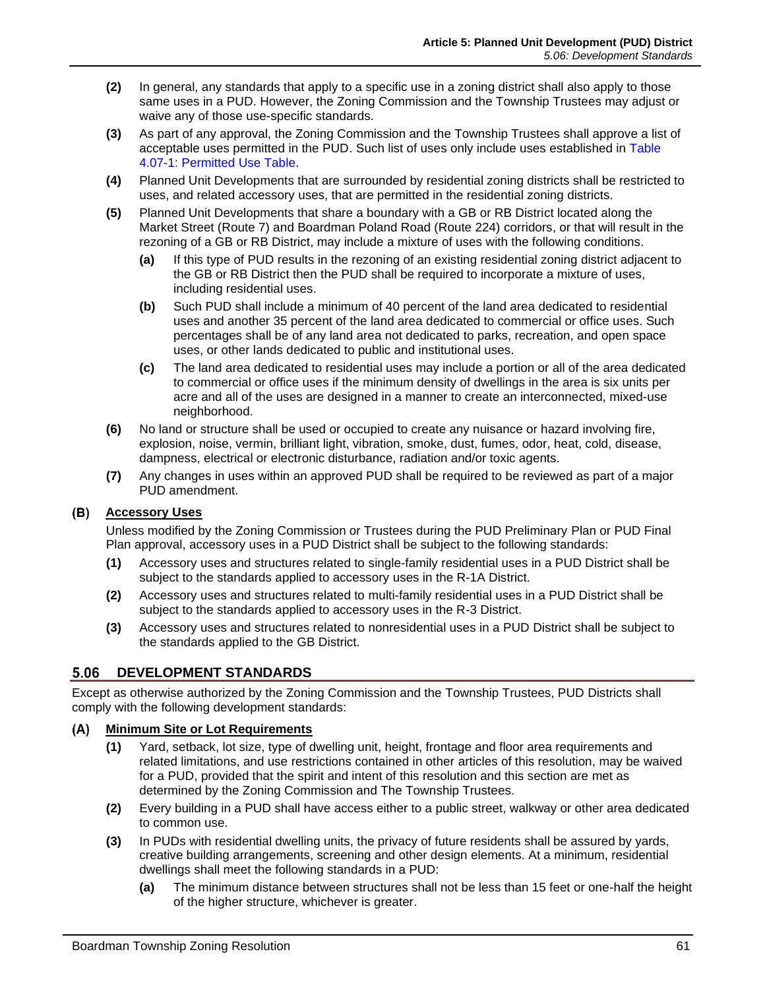- **(2)** In general, any standards that apply to a specific use in a zoning district shall also apply to those same uses in a PUD. However, the Zoning Commission and the Township Trustees may adjust or waive any of those use-specific standards.
- **(3)** As part of any approval, the Zoning Commission and the Township Trustees shall approve a list of acceptable uses permitted in the PUD. Such list of uses only include uses established in Table 4.07-1: Permitted Use Table.
- **(4)** Planned Unit Developments that are surrounded by residential zoning districts shall be restricted to uses, and related accessory uses, that are permitted in the residential zoning districts.
- **(5)** Planned Unit Developments that share a boundary with a GB or RB District located along the Market Street (Route 7) and Boardman Poland Road (Route 224) corridors, or that will result in the rezoning of a GB or RB District, may include a mixture of uses with the following conditions.
	- **(a)** If this type of PUD results in the rezoning of an existing residential zoning district adjacent to the GB or RB District then the PUD shall be required to incorporate a mixture of uses, including residential uses.
	- **(b)** Such PUD shall include a minimum of 40 percent of the land area dedicated to residential uses and another 35 percent of the land area dedicated to commercial or office uses. Such percentages shall be of any land area not dedicated to parks, recreation, and open space uses, or other lands dedicated to public and institutional uses.
	- **(c)** The land area dedicated to residential uses may include a portion or all of the area dedicated to commercial or office uses if the minimum density of dwellings in the area is six units per acre and all of the uses are designed in a manner to create an interconnected, mixed-use neighborhood.
- **(6)** No land or structure shall be used or occupied to create any nuisance or hazard involving fire, explosion, noise, vermin, brilliant light, vibration, smoke, dust, fumes, odor, heat, cold, disease, dampness, electrical or electronic disturbance, radiation and/or toxic agents.
- **(7)** Any changes in uses within an approved PUD shall be required to be reviewed as part of a major PUD amendment.

# **Accessory Uses**

Unless modified by the Zoning Commission or Trustees during the PUD Preliminary Plan or PUD Final Plan approval, accessory uses in a PUD District shall be subject to the following standards:

- **(1)** Accessory uses and structures related to single-family residential uses in a PUD District shall be subject to the standards applied to accessory uses in the R-1A District.
- **(2)** Accessory uses and structures related to multi-family residential uses in a PUD District shall be subject to the standards applied to accessory uses in the R-3 District.
- **(3)** Accessory uses and structures related to nonresidential uses in a PUD District shall be subject to the standards applied to the GB District.

# **DEVELOPMENT STANDARDS**

Except as otherwise authorized by the Zoning Commission and the Township Trustees, PUD Districts shall comply with the following development standards:

#### **Minimum Site or Lot Requirements**

- **(1)** Yard, setback, lot size, type of dwelling unit, height, frontage and floor area requirements and related limitations, and use restrictions contained in other articles of this resolution, may be waived for a PUD, provided that the spirit and intent of this resolution and this section are met as determined by the Zoning Commission and The Township Trustees.
- **(2)** Every building in a PUD shall have access either to a public street, walkway or other area dedicated to common use.
- **(3)** In PUDs with residential dwelling units, the privacy of future residents shall be assured by yards, creative building arrangements, screening and other design elements. At a minimum, residential dwellings shall meet the following standards in a PUD:
	- **(a)** The minimum distance between structures shall not be less than 15 feet or one-half the height of the higher structure, whichever is greater.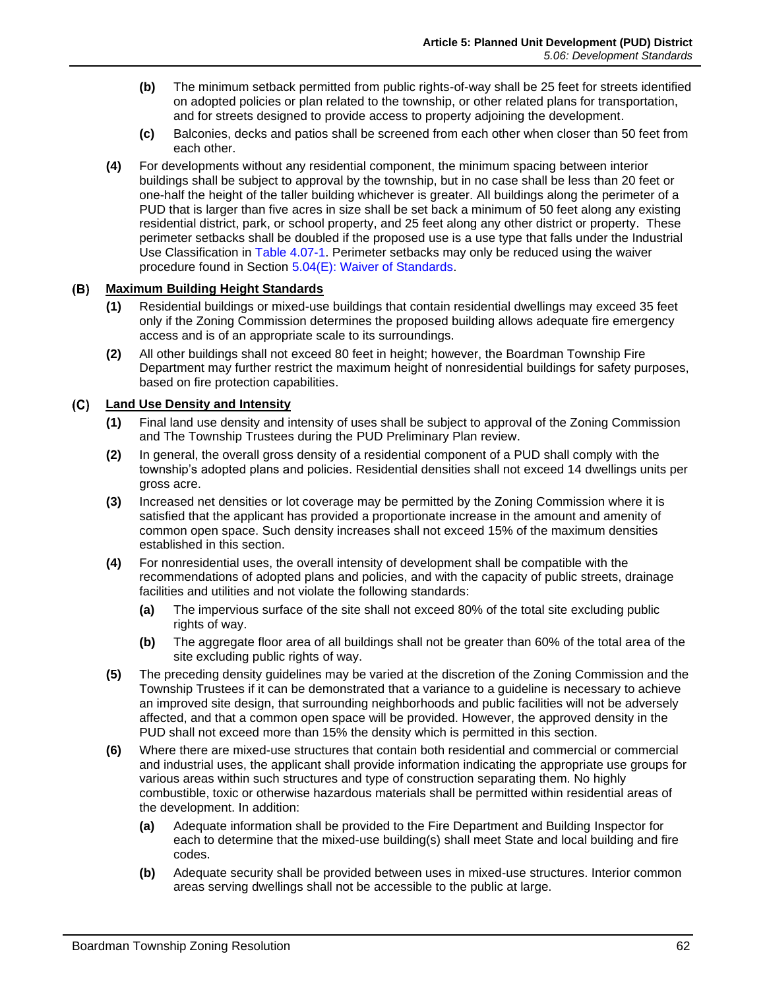- **(b)** The minimum setback permitted from public rights-of-way shall be 25 feet for streets identified on adopted policies or plan related to the township, or other related plans for transportation, and for streets designed to provide access to property adjoining the development.
- **(c)** Balconies, decks and patios shall be screened from each other when closer than 50 feet from each other.
- **(4)** For developments without any residential component, the minimum spacing between interior buildings shall be subject to approval by the township, but in no case shall be less than 20 feet or one-half the height of the taller building whichever is greater. All buildings along the perimeter of a PUD that is larger than five acres in size shall be set back a minimum of 50 feet along any existing residential district, park, or school property, and 25 feet along any other district or property. These perimeter setbacks shall be doubled if the proposed use is a use type that falls under the Industrial Use Classification in Table 4.07-1. Perimeter setbacks may only be reduced using the waiver procedure found in Section [5.04\(E\): Waiver of Standards.](#page-3-1)

#### **Maximum Building Height Standards**

- **(1)** Residential buildings or mixed-use buildings that contain residential dwellings may exceed 35 feet only if the Zoning Commission determines the proposed building allows adequate fire emergency access and is of an appropriate scale to its surroundings.
- **(2)** All other buildings shall not exceed 80 feet in height; however, the Boardman Township Fire Department may further restrict the maximum height of nonresidential buildings for safety purposes, based on fire protection capabilities.

#### **Land Use Density and Intensity**  $(C)$

- **(1)** Final land use density and intensity of uses shall be subject to approval of the Zoning Commission and The Township Trustees during the PUD Preliminary Plan review.
- **(2)** In general, the overall gross density of a residential component of a PUD shall comply with the township's adopted plans and policies. Residential densities shall not exceed 14 dwellings units per gross acre.
- **(3)** Increased net densities or lot coverage may be permitted by the Zoning Commission where it is satisfied that the applicant has provided a proportionate increase in the amount and amenity of common open space. Such density increases shall not exceed 15% of the maximum densities established in this section.
- **(4)** For nonresidential uses, the overall intensity of development shall be compatible with the recommendations of adopted plans and policies, and with the capacity of public streets, drainage facilities and utilities and not violate the following standards:
	- **(a)** The impervious surface of the site shall not exceed 80% of the total site excluding public rights of way.
	- **(b)** The aggregate floor area of all buildings shall not be greater than 60% of the total area of the site excluding public rights of way.
- **(5)** The preceding density guidelines may be varied at the discretion of the Zoning Commission and the Township Trustees if it can be demonstrated that a variance to a guideline is necessary to achieve an improved site design, that surrounding neighborhoods and public facilities will not be adversely affected, and that a common open space will be provided. However, the approved density in the PUD shall not exceed more than 15% the density which is permitted in this section.
- **(6)** Where there are mixed-use structures that contain both residential and commercial or commercial and industrial uses, the applicant shall provide information indicating the appropriate use groups for various areas within such structures and type of construction separating them. No highly combustible, toxic or otherwise hazardous materials shall be permitted within residential areas of the development. In addition:
	- **(a)** Adequate information shall be provided to the Fire Department and Building Inspector for each to determine that the mixed-use building(s) shall meet State and local building and fire codes.
	- **(b)** Adequate security shall be provided between uses in mixed-use structures. Interior common areas serving dwellings shall not be accessible to the public at large.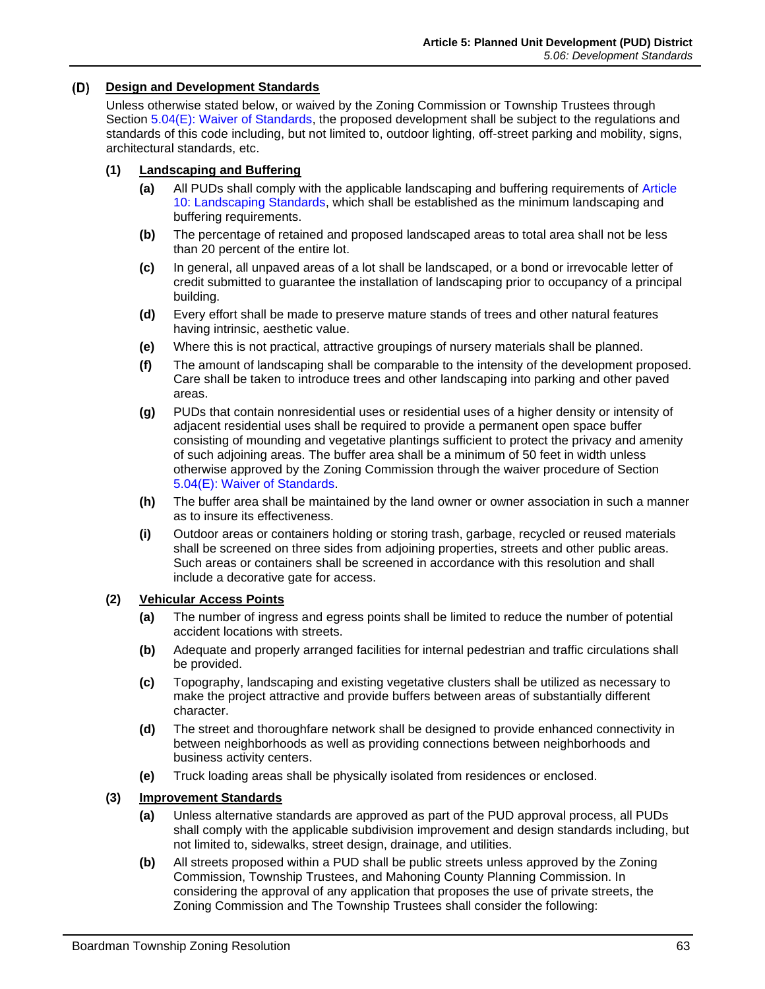#### **Design and Development Standards**

Unless otherwise stated below, or waived by the Zoning Commission or Township Trustees through Section [5.04\(E\): Waiver of Standards,](#page-3-1) the proposed development shall be subject to the regulations and standards of this code including, but not limited to, outdoor lighting, off-street parking and mobility, signs, architectural standards, etc.

#### **(1) Landscaping and Buffering**

- **(a)** All PUDs shall comply with the applicable landscaping and buffering requirements of Article 10: Landscaping Standards, which shall be established as the minimum landscaping and buffering requirements.
- **(b)** The percentage of retained and proposed landscaped areas to total area shall not be less than 20 percent of the entire lot.
- **(c)** In general, all unpaved areas of a lot shall be landscaped, or a bond or irrevocable letter of credit submitted to guarantee the installation of landscaping prior to occupancy of a principal building.
- **(d)** Every effort shall be made to preserve mature stands of trees and other natural features having intrinsic, aesthetic value.
- **(e)** Where this is not practical, attractive groupings of nursery materials shall be planned.
- **(f)** The amount of landscaping shall be comparable to the intensity of the development proposed. Care shall be taken to introduce trees and other landscaping into parking and other paved areas.
- **(g)** PUDs that contain nonresidential uses or residential uses of a higher density or intensity of adjacent residential uses shall be required to provide a permanent open space buffer consisting of mounding and vegetative plantings sufficient to protect the privacy and amenity of such adjoining areas. The buffer area shall be a minimum of 50 feet in width unless otherwise approved by the Zoning Commission through the waiver procedure of Section [5.04\(E\): Waiver of Standards.](#page-3-1)
- **(h)** The buffer area shall be maintained by the land owner or owner association in such a manner as to insure its effectiveness.
- **(i)** Outdoor areas or containers holding or storing trash, garbage, recycled or reused materials shall be screened on three sides from adjoining properties, streets and other public areas. Such areas or containers shall be screened in accordance with this resolution and shall include a decorative gate for access.

#### **(2) Vehicular Access Points**

- **(a)** The number of ingress and egress points shall be limited to reduce the number of potential accident locations with streets.
- **(b)** Adequate and properly arranged facilities for internal pedestrian and traffic circulations shall be provided.
- **(c)** Topography, landscaping and existing vegetative clusters shall be utilized as necessary to make the project attractive and provide buffers between areas of substantially different character.
- **(d)** The street and thoroughfare network shall be designed to provide enhanced connectivity in between neighborhoods as well as providing connections between neighborhoods and business activity centers.
- **(e)** Truck loading areas shall be physically isolated from residences or enclosed.

#### **(3) Improvement Standards**

- **(a)** Unless alternative standards are approved as part of the PUD approval process, all PUDs shall comply with the applicable subdivision improvement and design standards including, but not limited to, sidewalks, street design, drainage, and utilities.
- **(b)** All streets proposed within a PUD shall be public streets unless approved by the Zoning Commission, Township Trustees, and Mahoning County Planning Commission. In considering the approval of any application that proposes the use of private streets, the Zoning Commission and The Township Trustees shall consider the following: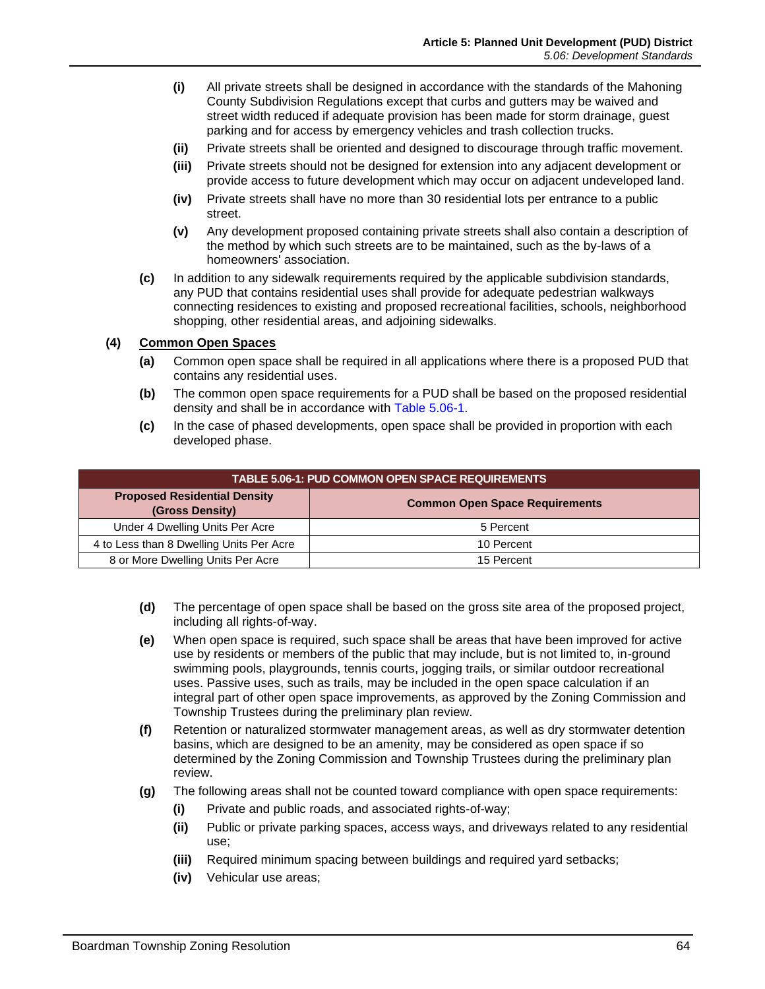- **(i)** All private streets shall be designed in accordance with the standards of the Mahoning County Subdivision Regulations except that curbs and gutters may be waived and street width reduced if adequate provision has been made for storm drainage, guest parking and for access by emergency vehicles and trash collection trucks.
- **(ii)** Private streets shall be oriented and designed to discourage through traffic movement.
- **(iii)** Private streets should not be designed for extension into any adjacent development or provide access to future development which may occur on adjacent undeveloped land.
- **(iv)** Private streets shall have no more than 30 residential lots per entrance to a public street.
- **(v)** Any development proposed containing private streets shall also contain a description of the method by which such streets are to be maintained, such as the by-laws of a homeowners' association.
- **(c)** In addition to any sidewalk requirements required by the applicable subdivision standards, any PUD that contains residential uses shall provide for adequate pedestrian walkways connecting residences to existing and proposed recreational facilities, schools, neighborhood shopping, other residential areas, and adjoining sidewalks.

#### **(4) Common Open Spaces**

- **(a)** Common open space shall be required in all applications where there is a proposed PUD that contains any residential uses.
- **(b)** The common open space requirements for a PUD shall be based on the proposed residential density and shall be in accordance with [Table 5.06-1.](#page-9-0)
- <span id="page-9-0"></span>**(c)** In the case of phased developments, open space shall be provided in proportion with each developed phase.

| <b>TABLE 5.06-1: PUD COMMON OPEN SPACE REQUIREMENTS</b> |                                       |
|---------------------------------------------------------|---------------------------------------|
| <b>Proposed Residential Density</b><br>(Gross Density)  | <b>Common Open Space Requirements</b> |
| Under 4 Dwelling Units Per Acre                         | 5 Percent                             |
| 4 to Less than 8 Dwelling Units Per Acre                | 10 Percent                            |
| 8 or More Dwelling Units Per Acre                       | 15 Percent                            |

- **(d)** The percentage of open space shall be based on the gross site area of the proposed project, including all rights-of-way.
- **(e)** When open space is required, such space shall be areas that have been improved for active use by residents or members of the public that may include, but is not limited to, in-ground swimming pools, playgrounds, tennis courts, jogging trails, or similar outdoor recreational uses. Passive uses, such as trails, may be included in the open space calculation if an integral part of other open space improvements, as approved by the Zoning Commission and Township Trustees during the preliminary plan review.
- **(f)** Retention or naturalized stormwater management areas, as well as dry stormwater detention basins, which are designed to be an amenity, may be considered as open space if so determined by the Zoning Commission and Township Trustees during the preliminary plan review.
- **(g)** The following areas shall not be counted toward compliance with open space requirements:
	- **(i)** Private and public roads, and associated rights-of-way;
	- **(ii)** Public or private parking spaces, access ways, and driveways related to any residential use;
	- **(iii)** Required minimum spacing between buildings and required yard setbacks;
	- **(iv)** Vehicular use areas;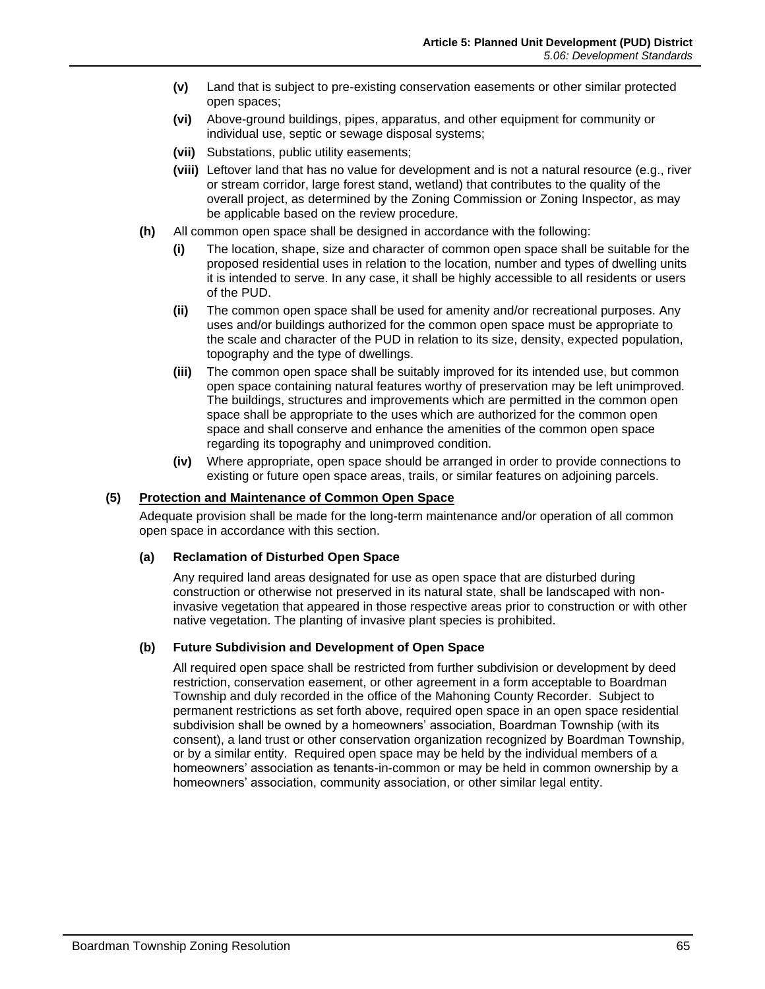- **(v)** Land that is subject to pre-existing conservation easements or other similar protected open spaces;
- **(vi)** Above-ground buildings, pipes, apparatus, and other equipment for community or individual use, septic or sewage disposal systems;
- **(vii)** Substations, public utility easements;
- **(viii)** Leftover land that has no value for development and is not a natural resource (e.g., river or stream corridor, large forest stand, wetland) that contributes to the quality of the overall project, as determined by the Zoning Commission or Zoning Inspector, as may be applicable based on the review procedure.
- **(h)** All common open space shall be designed in accordance with the following:
	- **(i)** The location, shape, size and character of common open space shall be suitable for the proposed residential uses in relation to the location, number and types of dwelling units it is intended to serve. In any case, it shall be highly accessible to all residents or users of the PUD.
	- **(ii)** The common open space shall be used for amenity and/or recreational purposes. Any uses and/or buildings authorized for the common open space must be appropriate to the scale and character of the PUD in relation to its size, density, expected population, topography and the type of dwellings.
	- **(iii)** The common open space shall be suitably improved for its intended use, but common open space containing natural features worthy of preservation may be left unimproved. The buildings, structures and improvements which are permitted in the common open space shall be appropriate to the uses which are authorized for the common open space and shall conserve and enhance the amenities of the common open space regarding its topography and unimproved condition.
	- **(iv)** Where appropriate, open space should be arranged in order to provide connections to existing or future open space areas, trails, or similar features on adjoining parcels.

#### **(5) Protection and Maintenance of Common Open Space**

Adequate provision shall be made for the long-term maintenance and/or operation of all common open space in accordance with this section.

#### **(a) Reclamation of Disturbed Open Space**

Any required land areas designated for use as open space that are disturbed during construction or otherwise not preserved in its natural state, shall be landscaped with noninvasive vegetation that appeared in those respective areas prior to construction or with other native vegetation. The planting of invasive plant species is prohibited.

#### **(b) Future Subdivision and Development of Open Space**

All required open space shall be restricted from further subdivision or development by deed restriction, conservation easement, or other agreement in a form acceptable to Boardman Township and duly recorded in the office of the Mahoning County Recorder. Subject to permanent restrictions as set forth above, required open space in an open space residential subdivision shall be owned by a homeowners' association, Boardman Township (with its consent), a land trust or other conservation organization recognized by Boardman Township, or by a similar entity. Required open space may be held by the individual members of a homeowners' association as tenants-in-common or may be held in common ownership by a homeowners' association, community association, or other similar legal entity.